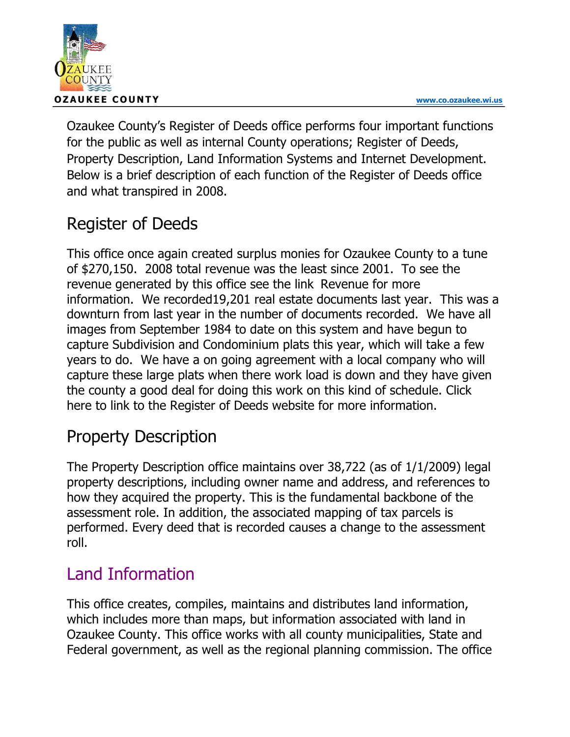

Ozaukee County's Register of Deeds office performs four important functions for the public as well as internal County operations; Register of Deeds, Property Description, Land Information Systems and Internet Development. Below is a brief description of each function of the Register of Deeds office and what transpired in 2008.

## Register of Deeds

This office once again created surplus monies for Ozaukee County to a tune of \$270,150. 2008 total revenue was the least since 2001. To see the revenue generated by this office see the link Revenue for more information. We recorded19,201 real estate documents last year. This was a downturn from last year in the number of documents recorded. We have all images from September 1984 to date on this system and have begun to capture Subdivision and Condominium plats this year, which will take a few years to do. We have a on going agreement with a local company who will capture these large plats when there work load is down and they have given the county a good deal for doing this work on this kind of schedule. Click here to link to the Register of Deeds website for more information.

## Property Description

The Property Description office maintains over 38,722 (as of 1/1/2009) legal property descriptions, including owner name and address, and references to how they acquired the property. This is the fundamental backbone of the assessment role. In addition, the associated mapping of tax parcels is performed. Every deed that is recorded causes a change to the assessment roll.

## Land Information

This office creates, compiles, maintains and distributes land information, which includes more than maps, but information associated with land in Ozaukee County. This office works with all county municipalities, State and Federal government, as well as the regional planning commission. The office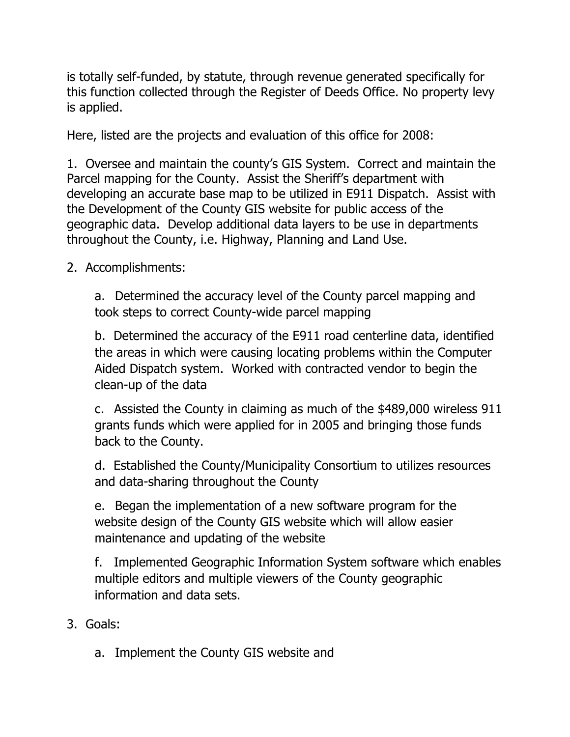is totally self-funded, by statute, through revenue generated specifically for this function collected through the Register of Deeds Office. No property levy is applied.

Here, listed are the projects and evaluation of this office for 2008:

1. Oversee and maintain the county's GIS System. Correct and maintain the Parcel mapping for the County. Assist the Sheriff's department with developing an accurate base map to be utilized in E911 Dispatch. Assist with the Development of the County GIS website for public access of the geographic data. Develop additional data layers to be use in departments throughout the County, i.e. Highway, Planning and Land Use.

2. Accomplishments:

a. Determined the accuracy level of the County parcel mapping and took steps to correct County-wide parcel mapping

b. Determined the accuracy of the E911 road centerline data, identified the areas in which were causing locating problems within the Computer Aided Dispatch system. Worked with contracted vendor to begin the clean-up of the data

c. Assisted the County in claiming as much of the \$489,000 wireless 911 grants funds which were applied for in 2005 and bringing those funds back to the County.

d. Established the County/Municipality Consortium to utilizes resources and data-sharing throughout the County

e. Began the implementation of a new software program for the website design of the County GIS website which will allow easier maintenance and updating of the website

f. Implemented Geographic Information System software which enables multiple editors and multiple viewers of the County geographic information and data sets.

- 3. Goals:
	- a. Implement the County GIS website and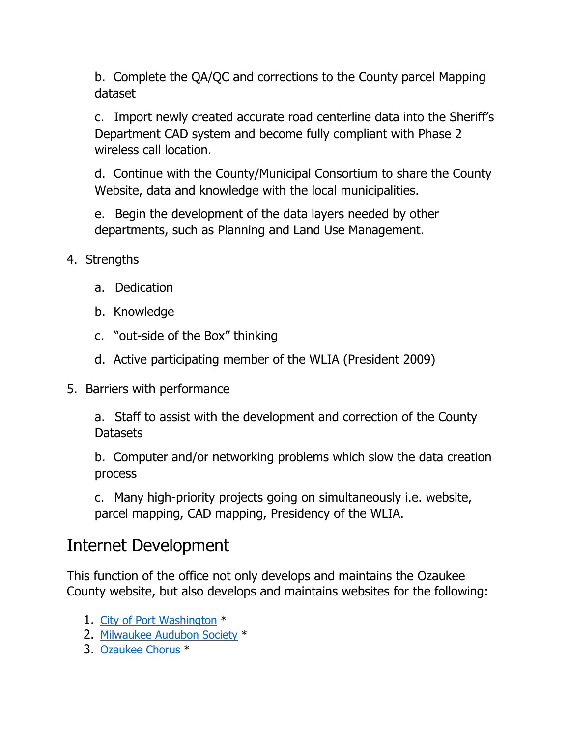b. Complete the QA/QC and corrections to the County parcel Mapping dataset

c. Import newly created accurate road centerline data into the Sheriff's Department CAD system and become fully compliant with Phase 2 wireless call location.

d. Continue with the County/Municipal Consortium to share the County Website, data and knowledge with the local municipalities.

e. Begin the development of the data layers needed by other departments, such as Planning and Land Use Management.

- 4. Strengths
	- a. Dedication
	- b. Knowledge
	- c. "out-side of the Box" thinking
	- d. Active participating member of the WLIA (President 2009)
- 5. Barriers with performance

a. Staff to assist with the development and correction of the County **Datasets** 

b. Computer and/or networking problems which slow the data creation process

c. Many high-priority projects going on simultaneously i.e. website, parcel mapping, CAD mapping, Presidency of the WLIA.

## Internet Development

This function of the office not only develops and maintains the Ozaukee County website, but also develops and maintains websites for the following:

- 1. City of Port Washington \*
- 2. Milwaukee Audubon Society \*
- 3. Ozaukee Chorus \*